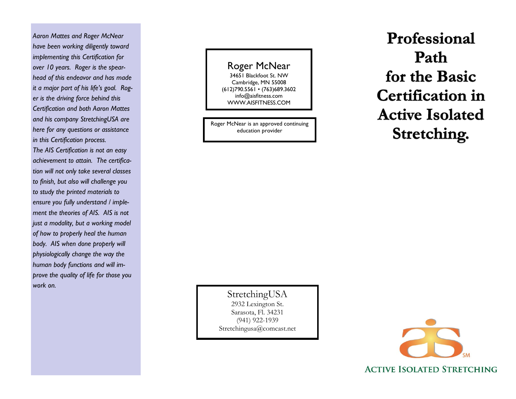*Aaron Mattes and Roger McNear have been working diligently toward implementing this Certification for over 10 years. Roger is the spearhead of this endeavor and has made it a major part of his life's goal. Roger is the driving force behind this Certification and both Aaron Mattes and his company StretchingUSA are here for any questions or assistance in this Certification process. The AIS Certification is not an easy achievement to attain. The certification will not only take several classes to finish, but also will challenge you to study the printed materials to ensure you fully understand / implement the theories of AIS. AIS is not just a modality, but a working model of how to properly heal the human body. AIS when done properly will physiologically change the way the human body functions and will improve the quality of life for those you work on.*

# Roger McNear

34651 Blackfoot St. NW Cambridge, MN 55008 (612)790.5561 • (763)689.3602 info@aisfitness.com WWW.AISFITNESS.COM

Roger McNear is an approved continuing education provider

Professional Path for the Basic **Certification in Active Isolated** Stretching.

StretchingUSA 2932 Lexington St. Sarasota, Fl. 34231 (941) 922-1939 Stretchingusa@comcast.net